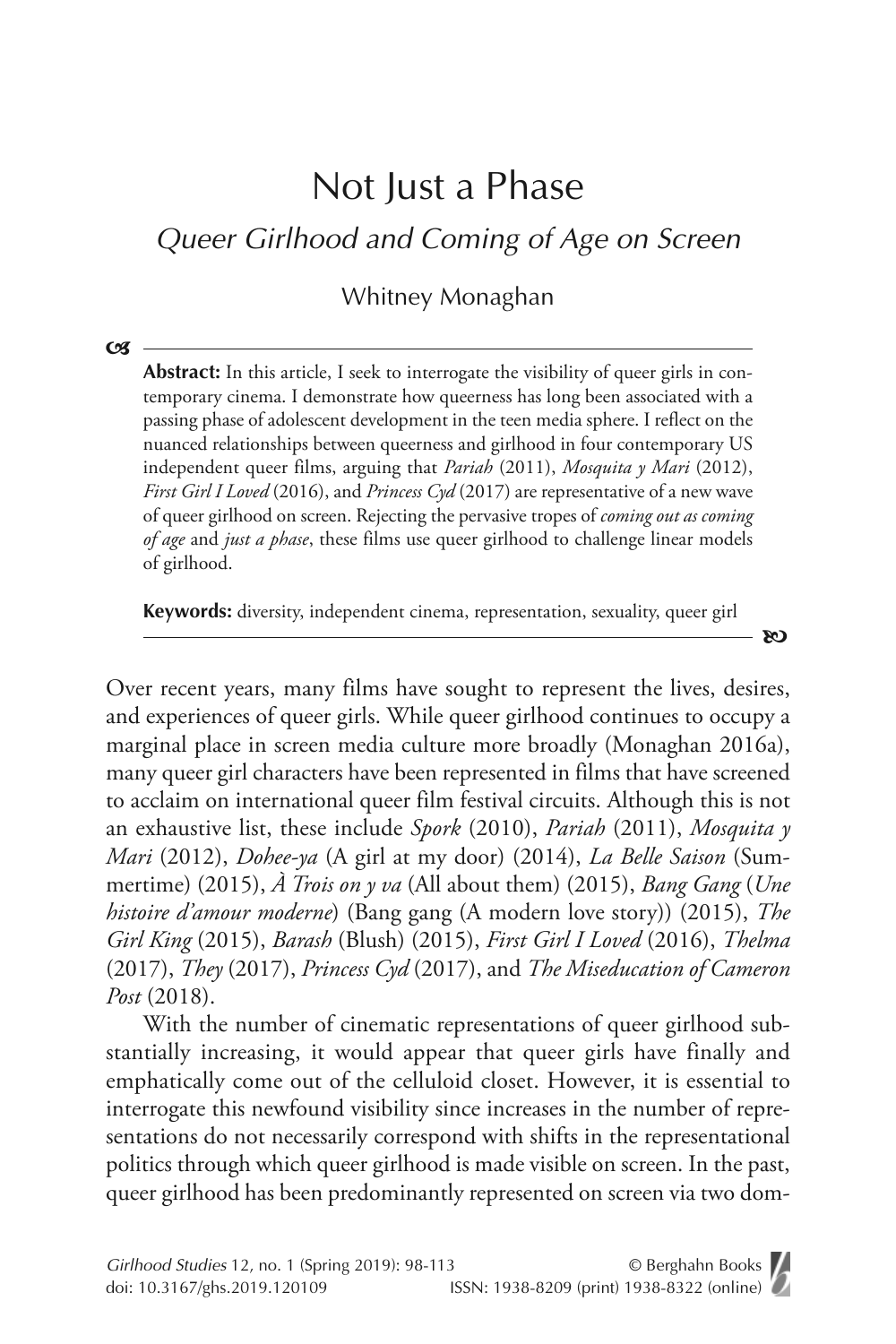# Not Just a Phase

Queer Girlhood and Coming of Age on Screen

Whitney Monaghan

 $\mathbf{C}$ 

Abstract: In this article, I seek to interrogate the visibility of queer girls in contemporary cinema. I demonstrate how queerness has long been associated with a passing phase of adolescent development in the teen media sphere. I reflect on the nuanced relationships between queerness and girlhood in four contemporary US independent queer films, arguing that *Pariah* (2011), *Mosquita y Mari* (2012), *First Girl I Loved* (2016), and *Princess Cyd* (2017) are representative of a new wave of queer girlhood on screen. Rejecting the pervasive tropes of *coming out as coming of age* and *just a phase*, these films use queer girlhood to challenge linear models of girlhood.

**Keywords:** diversity, independent cinema, representation, sexuality, queer girl

- 80

Over recent years, many films have sought to represent the lives, desires, and experiences of queer girls. While queer girlhood continues to occupy a marginal place in screen media culture more broadly (Monaghan 2016a), many queer girl characters have been represented in films that have screened to acclaim on international queer film festival circuits. Although this is not an exhaustive list, these include *Spork* (2010), *Pariah* (2011), *Mosquita y Mari* (2012), *Dohee-ya* (A girl at my door) (2014), *La Belle Saison* (Summertime) (2015), *À Trois on y va* (All about them) (2015), *Bang Gang* (*Une histoire d'amour moderne*) (Bang gang (A modern love story)) (2015), *The Girl King* (2015), *Barash* (Blush) (2015), *First Girl I Loved* (2016), *Thelma* (2017), *They* (2017), *Princess Cyd* (2017), and *The Miseducation of Cameron Post* (2018).

With the number of cinematic representations of queer girlhood substantially increasing, it would appear that queer girls have finally and emphatically come out of the celluloid closet. However, it is essential to interrogate this newfound visibility since increases in the number of representations do not necessarily correspond with shifts in the representational politics through which queer girlhood is made visible on screen. In the past, queer girlhood has been predominantly represented on screen via two dom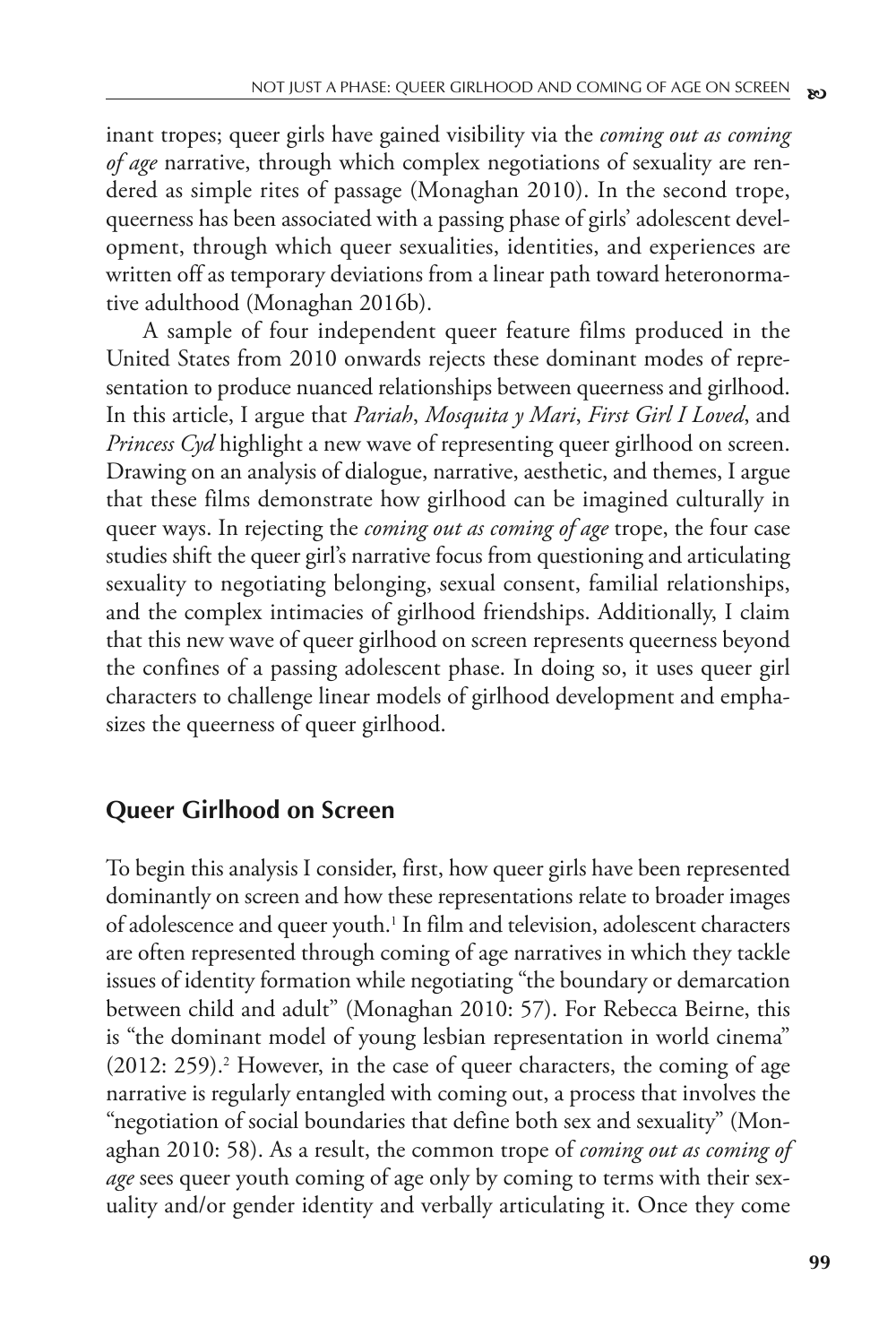inant tropes; queer girls have gained visibility via the *coming out as coming of age* narrative, through which complex negotiations of sexuality are rendered as simple rites of passage (Monaghan 2010). In the second trope, queerness has been associated with a passing phase of girls' adolescent development, through which queer sexualities, identities, and experiences are written off as temporary deviations from a linear path toward heteronormative adulthood (Monaghan 2016b).

A sample of four independent queer feature films produced in the United States from 2010 onwards rejects these dominant modes of representation to produce nuanced relationships between queerness and girlhood. In this article, I argue that *Pariah*, *Mosquita y Mari*, *First Girl I Loved*, and *Princess Cyd* highlight a new wave of representing queer girlhood on screen. Drawing on an analysis of dialogue, narrative, aesthetic, and themes, I argue that these films demonstrate how girlhood can be imagined culturally in queer ways. In rejecting the *coming out as coming of age* trope, the four case studies shift the queer girl's narrative focus from questioning and articulating sexuality to negotiating belonging, sexual consent, familial relationships, and the complex intimacies of girlhood friendships. Additionally, I claim that this new wave of queer girlhood on screen represents queerness beyond the confines of a passing adolescent phase. In doing so, it uses queer girl characters to challenge linear models of girlhood development and emphasizes the queerness of queer girlhood.

#### **Queer Girlhood on Screen**

To begin this analysis I consider, first, how queer girls have been represented dominantly on screen and how these representations relate to broader images of adolescence and queer youth.<sup>1</sup> In film and television, adolescent characters are often represented through coming of age narratives in which they tackle issues of identity formation while negotiating "the boundary or demarcation between child and adult" (Monaghan 2010: 57). For Rebecca Beirne, this is "the dominant model of young lesbian representation in world cinema"  $(2012: 259).<sup>2</sup>$  However, in the case of queer characters, the coming of age narrative is regularly entangled with coming out, a process that involves the "negotiation of social boundaries that define both sex and sexuality" (Monaghan 2010: 58). As a result, the common trope of *coming out as coming of age* sees queer youth coming of age only by coming to terms with their sexuality and/or gender identity and verbally articulating it. Once they come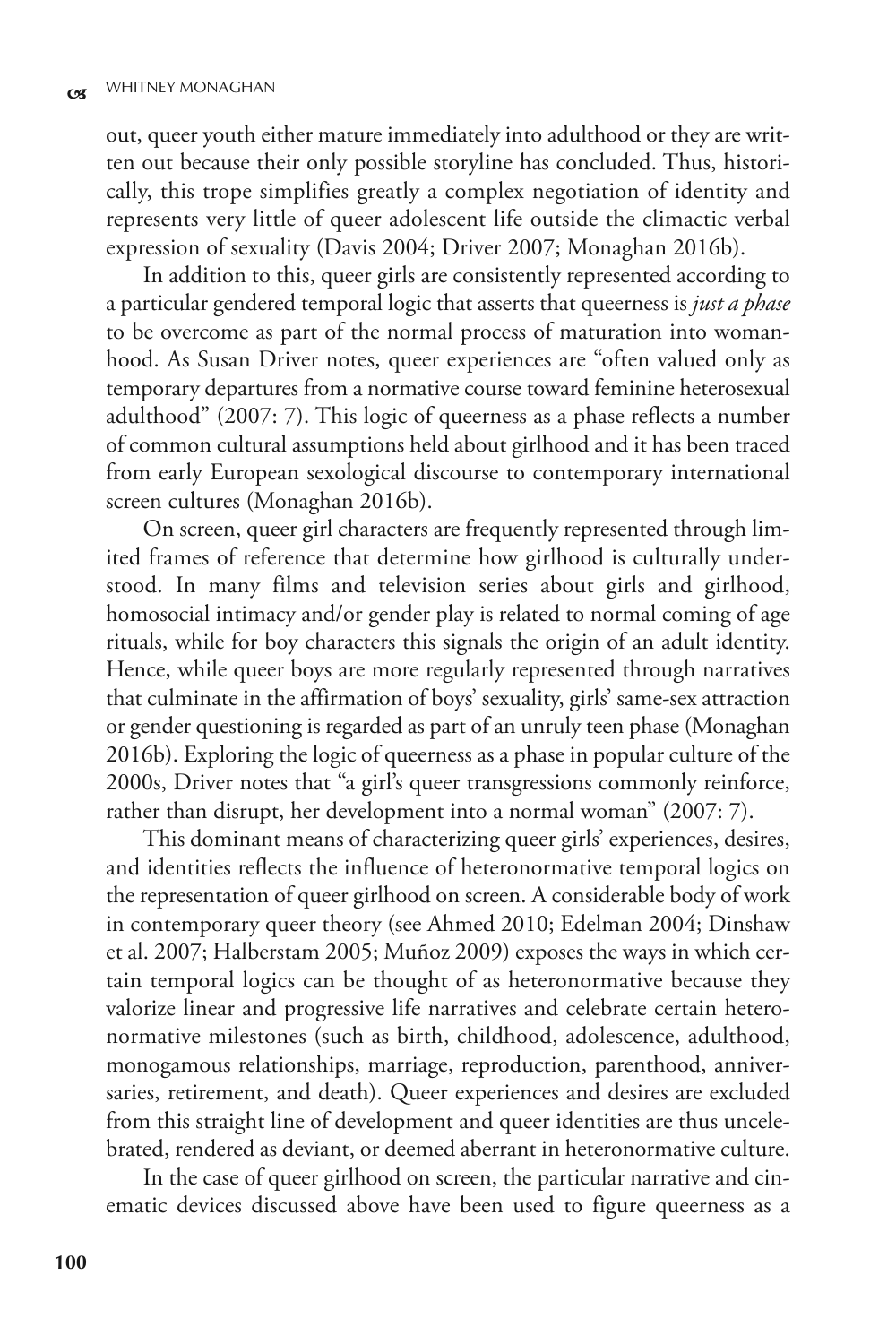out, queer youth either mature immediately into adulthood or they are written out because their only possible storyline has concluded. Thus, historically, this trope simplifies greatly a complex negotiation of identity and represents very little of queer adolescent life outside the climactic verbal expression of sexuality (Davis 2004; Driver 2007; Monaghan 2016b).

In addition to this, queer girls are consistently represented according to a particular gendered temporal logic that asserts that queerness is *just a phase* to be overcome as part of the normal process of maturation into womanhood. As Susan Driver notes, queer experiences are "often valued only as temporary departures from a normative course toward feminine heterosexual adulthood" (2007: 7). This logic of queerness as a phase reflects a number of common cultural assumptions held about girlhood and it has been traced from early European sexological discourse to contemporary international screen cultures (Monaghan 2016b).

On screen, queer girl characters are frequently represented through limited frames of reference that determine how girlhood is culturally understood. In many films and television series about girls and girlhood, homosocial intimacy and/or gender play is related to normal coming of age rituals, while for boy characters this signals the origin of an adult identity. Hence, while queer boys are more regularly represented through narratives that culminate in the affirmation of boys' sexuality, girls' same-sex attraction or gender questioning is regarded as part of an unruly teen phase (Monaghan 2016b). Exploring the logic of queerness as a phase in popular culture of the 2000s, Driver notes that "a girl's queer transgressions commonly reinforce, rather than disrupt, her development into a normal woman" (2007: 7).

This dominant means of characterizing queer girls' experiences, desires, and identities reflects the influence of heteronormative temporal logics on the representation of queer girlhood on screen. A considerable body of work in contemporary queer theory (see Ahmed 2010; Edelman 2004; Dinshaw et al. 2007; Halberstam 2005; Muñoz 2009) exposes the ways in which certain temporal logics can be thought of as heteronormative because they valorize linear and progressive life narratives and celebrate certain heteronormative milestones (such as birth, childhood, adolescence, adulthood, monogamous relationships, marriage, reproduction, parenthood, anniversaries, retirement, and death). Queer experiences and desires are excluded from this straight line of development and queer identities are thus uncelebrated, rendered as deviant, or deemed aberrant in heteronormative culture.

In the case of queer girlhood on screen, the particular narrative and cinematic devices discussed above have been used to figure queerness as a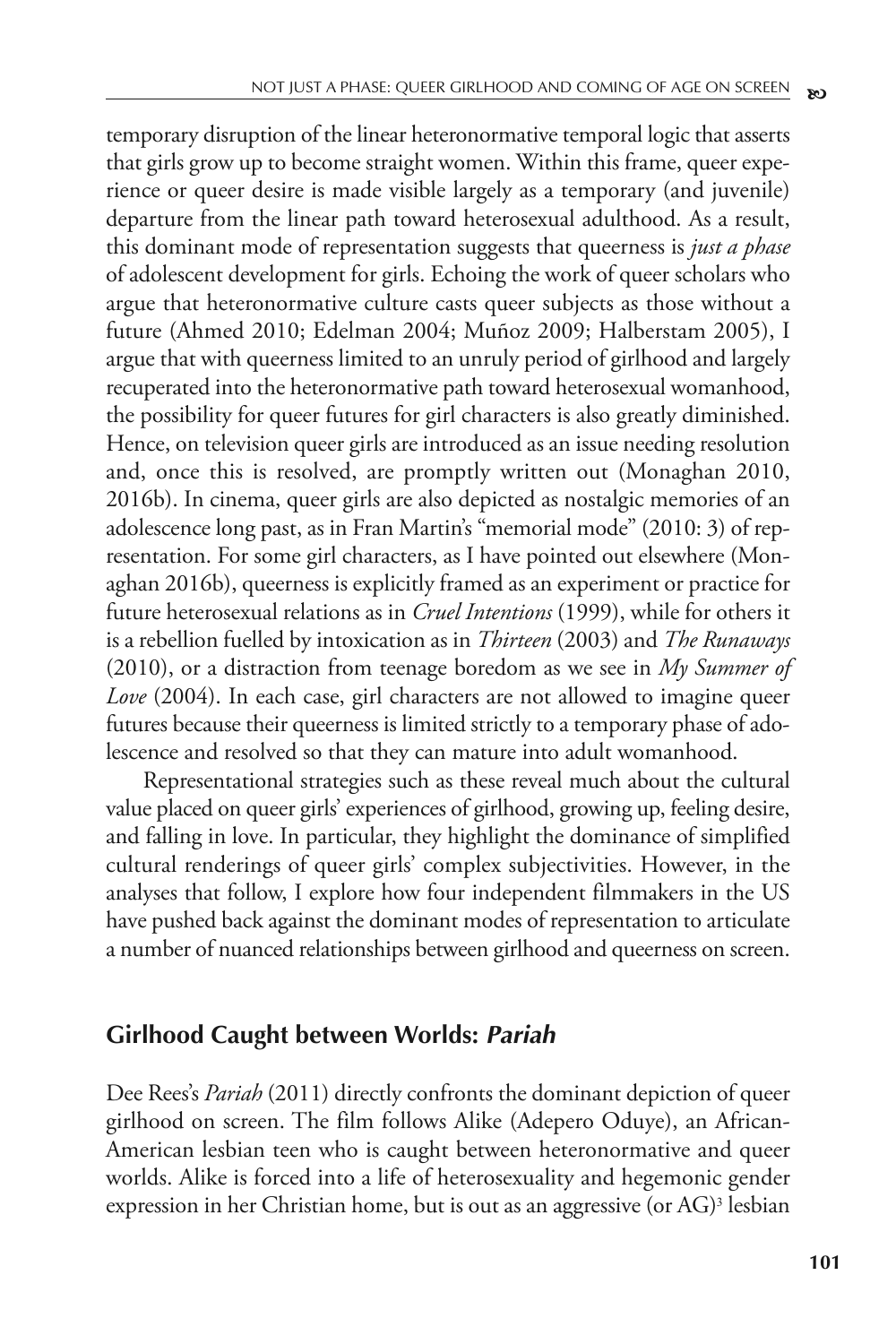temporary disruption of the linear heteronormative temporal logic that asserts that girls grow up to become straight women. Within this frame, queer experience or queer desire is made visible largely as a temporary (and juvenile) departure from the linear path toward heterosexual adulthood. As a result, this dominant mode of representation suggests that queerness is *just a phase* of adolescent development for girls. Echoing the work of queer scholars who argue that heteronormative culture casts queer subjects as those without a future (Ahmed 2010; Edelman 2004; Muñoz 2009; Halberstam 2005), I argue that with queerness limited to an unruly period of girlhood and largely recuperated into the heteronormative path toward heterosexual womanhood, the possibility for queer futures for girl characters is also greatly diminished. Hence, on television queer girls are introduced as an issue needing resolution and, once this is resolved, are promptly written out (Monaghan 2010, 2016b). In cinema, queer girls are also depicted as nostalgic memories of an adolescence long past, as in Fran Martin's "memorial mode" (2010: 3) of representation. For some girl characters, as I have pointed out elsewhere (Monaghan 2016b), queerness is explicitly framed as an experiment or practice for future heterosexual relations as in *Cruel Intentions* (1999), while for others it is a rebellion fuelled by intoxication as in *Thirteen* (2003) and *The Runaways* (2010), or a distraction from teenage boredom as we see in *My Summer of Love* (2004). In each case, girl characters are not allowed to imagine queer futures because their queerness is limited strictly to a temporary phase of adolescence and resolved so that they can mature into adult womanhood.

Representational strategies such as these reveal much about the cultural value placed on queer girls' experiences of girlhood, growing up, feeling desire, and falling in love. In particular, they highlight the dominance of simplified cultural renderings of queer girls' complex subjectivities. However, in the analyses that follow, I explore how four independent filmmakers in the US have pushed back against the dominant modes of representation to articulate a number of nuanced relationships between girlhood and queerness on screen.

#### **Girlhood Caught between Worlds: Pariah**

Dee Rees's *Pariah* (2011) directly confronts the dominant depiction of queer girlhood on screen. The film follows Alike (Adepero Oduye), an African-American lesbian teen who is caught between heteronormative and queer worlds. Alike is forced into a life of heterosexuality and hegemonic gender expression in her Christian home, but is out as an aggressive (or AG)<sup>3</sup> lesbian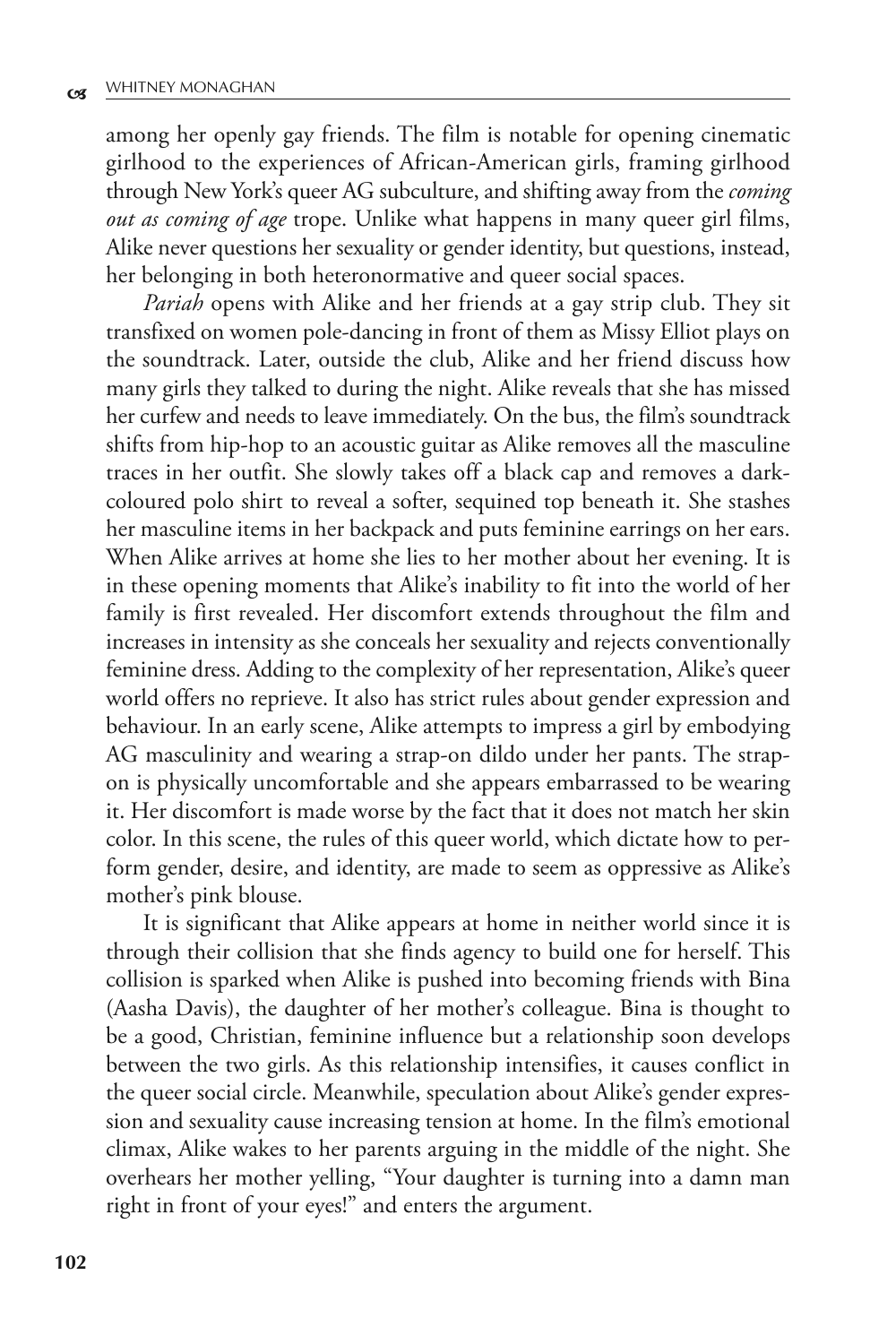among her openly gay friends. The film is notable for opening cinematic girlhood to the experiences of African-American girls, framing girlhood through New York's queer AG subculture, and shifting away from the *coming out as coming of age* trope. Unlike what happens in many queer girl films, Alike never questions her sexuality or gender identity, but questions, instead, her belonging in both heteronormative and queer social spaces.

*Pariah* opens with Alike and her friends at a gay strip club. They sit transfixed on women pole-dancing in front of them as Missy Elliot plays on the soundtrack. Later, outside the club, Alike and her friend discuss how many girls they talked to during the night. Alike reveals that she has missed her curfew and needs to leave immediately. On the bus, the film's soundtrack shifts from hip-hop to an acoustic guitar as Alike removes all the masculine traces in her outfit. She slowly takes off a black cap and removes a darkcoloured polo shirt to reveal a softer, sequined top beneath it. She stashes her masculine items in her backpack and puts feminine earrings on her ears. When Alike arrives at home she lies to her mother about her evening. It is in these opening moments that Alike's inability to fit into the world of her family is first revealed. Her discomfort extends throughout the film and increases in intensity as she conceals her sexuality and rejects conventionally feminine dress. Adding to the complexity of her representation, Alike's queer world offers no reprieve. It also has strict rules about gender expression and behaviour. In an early scene, Alike attempts to impress a girl by embodying AG masculinity and wearing a strap-on dildo under her pants. The strapon is physically uncomfortable and she appears embarrassed to be wearing it. Her discomfort is made worse by the fact that it does not match her skin color. In this scene, the rules of this queer world, which dictate how to perform gender, desire, and identity, are made to seem as oppressive as Alike's mother's pink blouse.

It is significant that Alike appears at home in neither world since it is through their collision that she finds agency to build one for herself. This collision is sparked when Alike is pushed into becoming friends with Bina (Aasha Davis), the daughter of her mother's colleague. Bina is thought to be a good, Christian, feminine influence but a relationship soon develops between the two girls. As this relationship intensifies, it causes conflict in the queer social circle. Meanwhile, speculation about Alike's gender expression and sexuality cause increasing tension at home. In the film's emotional climax, Alike wakes to her parents arguing in the middle of the night. She overhears her mother yelling, "Your daughter is turning into a damn man right in front of your eyes!" and enters the argument.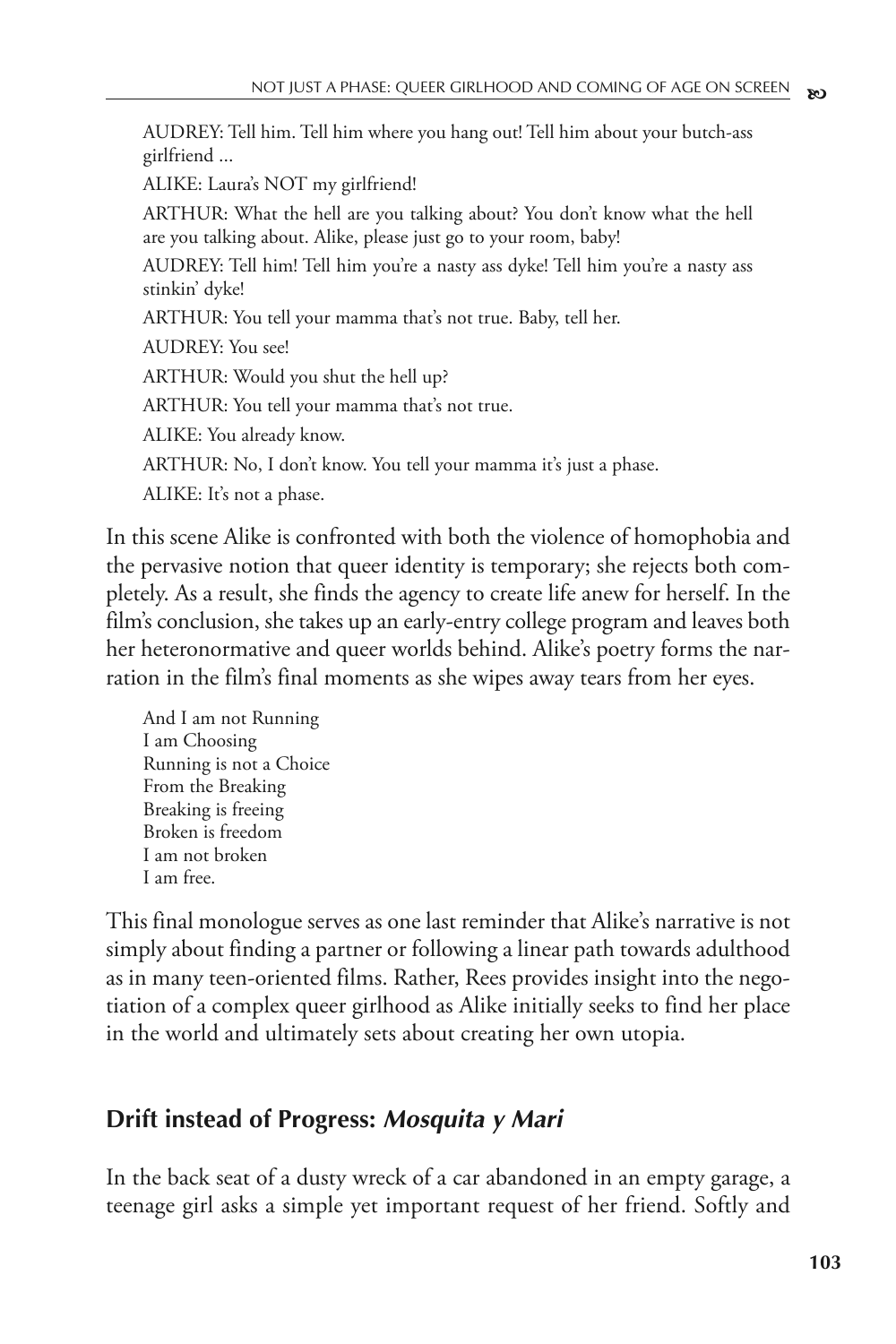AUDREY: Tell him. Tell him where you hang out! Tell him about your butch-ass girlfriend ...

ALIKE: Laura's NOT my girlfriend!

ARTHUR: What the hell are you talking about? You don't know what the hell are you talking about. Alike, please just go to your room, baby!

AUDREY: Tell him! Tell him you're a nasty ass dyke! Tell him you're a nasty ass stinkin' dyke!

ARTHUR: You tell your mamma that's not true. Baby, tell her.

AUDREY: You see!

ARTHUR: Would you shut the hell up?

ARTHUR: You tell your mamma that's not true.

ALIKE: You already know.

ARTHUR: No, I don't know. You tell your mamma it's just a phase.

ALIKE: It's not a phase.

In this scene Alike is confronted with both the violence of homophobia and the pervasive notion that queer identity is temporary; she rejects both completely. As a result, she finds the agency to create life anew for herself. In the film's conclusion, she takes up an early-entry college program and leaves both her heteronormative and queer worlds behind. Alike's poetry forms the narration in the film's final moments as she wipes away tears from her eyes.

And I am not Running I am Choosing Running is not a Choice From the Breaking Breaking is freeing Broken is freedom I am not broken I am free.

This final monologue serves as one last reminder that Alike's narrative is not simply about finding a partner or following a linear path towards adulthood as in many teen-oriented films. Rather, Rees provides insight into the negotiation of a complex queer girlhood as Alike initially seeks to find her place in the world and ultimately sets about creating her own utopia.

### **Drift instead of Progress: Mosquita y Mari**

In the back seat of a dusty wreck of a car abandoned in an empty garage, a teenage girl asks a simple yet important request of her friend. Softly and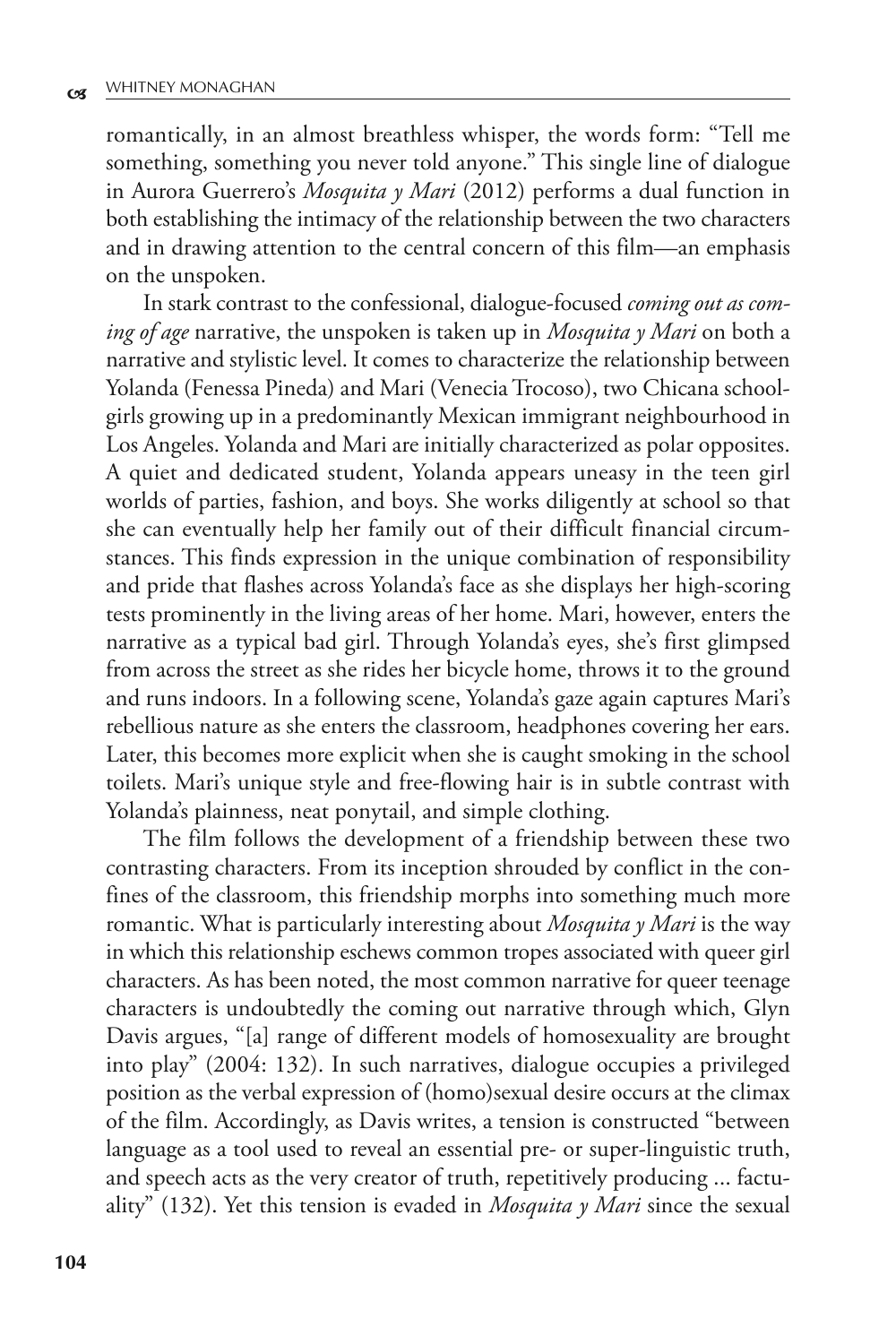romantically, in an almost breathless whisper, the words form: "Tell me something, something you never told anyone." This single line of dialogue in Aurora Guerrero's *Mosquita y Mari* (2012) performs a dual function in both establishing the intimacy of the relationship between the two characters and in drawing attention to the central concern of this film—an emphasis on the unspoken.

In stark contrast to the confessional, dialogue-focused *coming out as coming of age* narrative, the unspoken is taken up in *Mosquita y Mari* on both a narrative and stylistic level. It comes to characterize the relationship between Yolanda (Fenessa Pineda) and Mari (Venecia Trocoso), two Chicana schoolgirls growing up in a predominantly Mexican immigrant neighbourhood in Los Angeles. Yolanda and Mari are initially characterized as polar opposites. A quiet and dedicated student, Yolanda appears uneasy in the teen girl worlds of parties, fashion, and boys. She works diligently at school so that she can eventually help her family out of their difficult financial circumstances. This finds expression in the unique combination of responsibility and pride that flashes across Yolanda's face as she displays her high-scoring tests prominently in the living areas of her home. Mari, however, enters the narrative as a typical bad girl. Through Yolanda's eyes, she's first glimpsed from across the street as she rides her bicycle home, throws it to the ground and runs indoors. In a following scene, Yolanda's gaze again captures Mari's rebellious nature as she enters the classroom, headphones covering her ears. Later, this becomes more explicit when she is caught smoking in the school toilets. Mari's unique style and free-flowing hair is in subtle contrast with Yolanda's plainness, neat ponytail, and simple clothing.

The film follows the development of a friendship between these two contrasting characters. From its inception shrouded by conflict in the confines of the classroom, this friendship morphs into something much more romantic. What is particularly interesting about *Mosquita y Mari* is the way in which this relationship eschews common tropes associated with queer girl characters. As has been noted, the most common narrative for queer teenage characters is undoubtedly the coming out narrative through which, Glyn Davis argues, "[a] range of different models of homosexuality are brought into play" (2004: 132). In such narratives, dialogue occupies a privileged position as the verbal expression of (homo)sexual desire occurs at the climax of the film. Accordingly, as Davis writes, a tension is constructed "between language as a tool used to reveal an essential pre- or super-linguistic truth, and speech acts as the very creator of truth, repetitively producing ... factuality" (132). Yet this tension is evaded in *Mosquita y Mari* since the sexual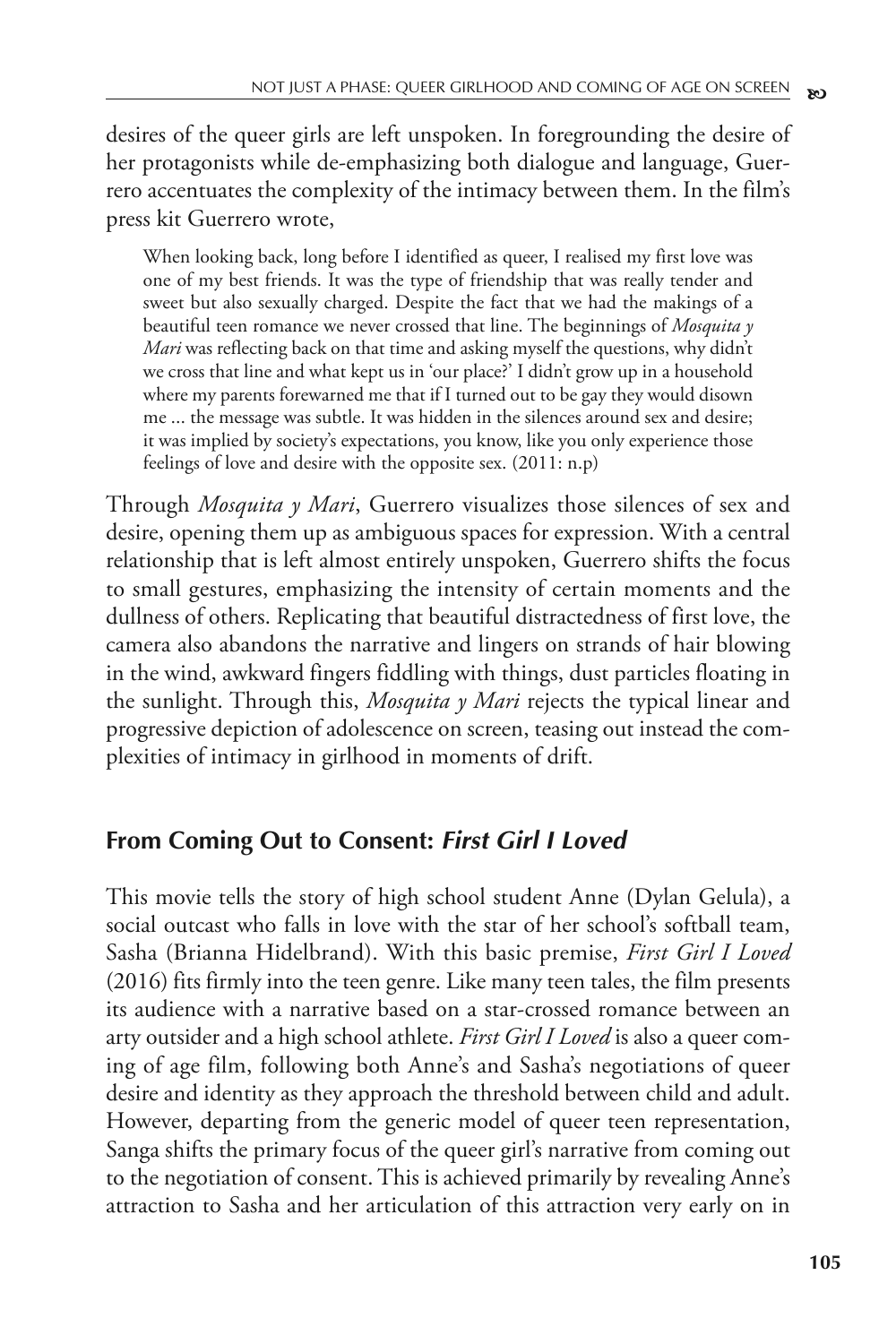desires of the queer girls are left unspoken. In foregrounding the desire of her protagonists while de-emphasizing both dialogue and language, Guerrero accentuates the complexity of the intimacy between them. In the film's press kit Guerrero wrote,

When looking back, long before I identified as queer, I realised my first love was one of my best friends. It was the type of friendship that was really tender and sweet but also sexually charged. Despite the fact that we had the makings of a beautiful teen romance we never crossed that line. The beginnings of *Mosquita y Mari* was reflecting back on that time and asking myself the questions, why didn't we cross that line and what kept us in 'our place?' I didn't grow up in a household where my parents forewarned me that if I turned out to be gay they would disown me ... the message was subtle. It was hidden in the silences around sex and desire; it was implied by society's expectations, you know, like you only experience those feelings of love and desire with the opposite sex. (2011: n.p)

Through *Mosquita y Mari*, Guerrero visualizes those silences of sex and desire, opening them up as ambiguous spaces for expression. With a central relationship that is left almost entirely unspoken, Guerrero shifts the focus to small gestures, emphasizing the intensity of certain moments and the dullness of others. Replicating that beautiful distractedness of first love, the camera also abandons the narrative and lingers on strands of hair blowing in the wind, awkward fingers fiddling with things, dust particles floating in the sunlight. Through this, *Mosquita y Mari* rejects the typical linear and progressive depiction of adolescence on screen, teasing out instead the complexities of intimacy in girlhood in moments of drift.

### **From Coming Out to Consent: First Girl I Loved**

This movie tells the story of high school student Anne (Dylan Gelula), a social outcast who falls in love with the star of her school's softball team, Sasha (Brianna Hidelbrand). With this basic premise, *First Girl I Loved* (2016) fits firmly into the teen genre. Like many teen tales, the film presents its audience with a narrative based on a star-crossed romance between an arty outsider and a high school athlete. *First Girl I Loved* is also a queer coming of age film, following both Anne's and Sasha's negotiations of queer desire and identity as they approach the threshold between child and adult. However, departing from the generic model of queer teen representation, Sanga shifts the primary focus of the queer girl's narrative from coming out to the negotiation of consent. This is achieved primarily by revealing Anne's attraction to Sasha and her articulation of this attraction very early on in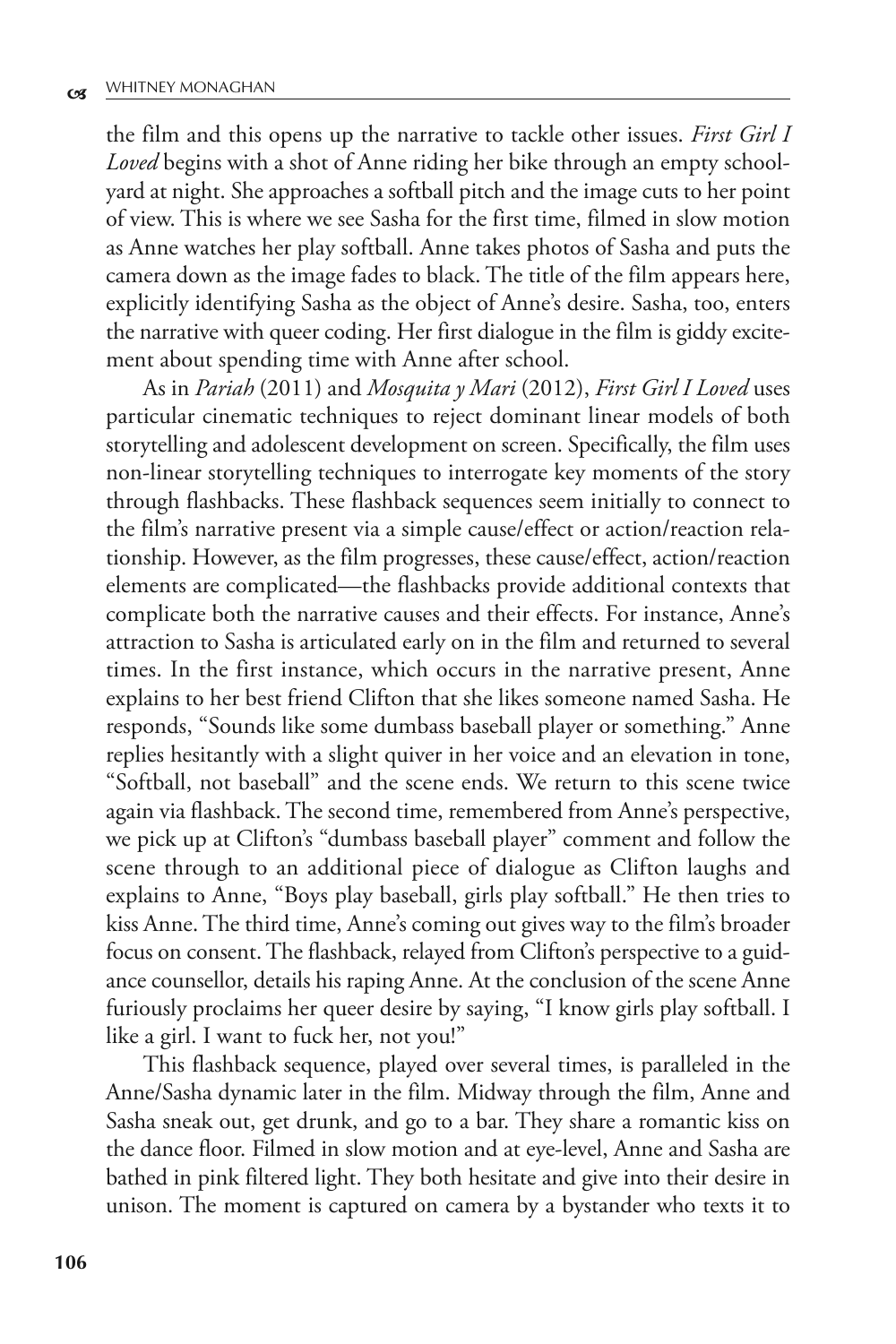the film and this opens up the narrative to tackle other issues. *First Girl I Loved* begins with a shot of Anne riding her bike through an empty schoolyard at night. She approaches a softball pitch and the image cuts to her point of view. This is where we see Sasha for the first time, filmed in slow motion as Anne watches her play softball. Anne takes photos of Sasha and puts the camera down as the image fades to black. The title of the film appears here, explicitly identifying Sasha as the object of Anne's desire. Sasha, too, enters the narrative with queer coding. Her first dialogue in the film is giddy excitement about spending time with Anne after school.

As in *Pariah* (2011) and *Mosquita y Mari* (2012), *First Girl I Loved* uses particular cinematic techniques to reject dominant linear models of both storytelling and adolescent development on screen. Specifically, the film uses non-linear storytelling techniques to interrogate key moments of the story through flashbacks. These flashback sequences seem initially to connect to the film's narrative present via a simple cause/effect or action/reaction relationship. However, as the film progresses, these cause/effect, action/reaction elements are complicated—the flashbacks provide additional contexts that complicate both the narrative causes and their effects. For instance, Anne's attraction to Sasha is articulated early on in the film and returned to several times. In the first instance, which occurs in the narrative present, Anne explains to her best friend Clifton that she likes someone named Sasha. He responds, "Sounds like some dumbass baseball player or something." Anne replies hesitantly with a slight quiver in her voice and an elevation in tone, "Softball, not baseball" and the scene ends. We return to this scene twice again via flashback. The second time, remembered from Anne's perspective, we pick up at Clifton's "dumbass baseball player" comment and follow the scene through to an additional piece of dialogue as Clifton laughs and explains to Anne, "Boys play baseball, girls play softball." He then tries to kiss Anne. The third time, Anne's coming out gives way to the film's broader focus on consent. The flashback, relayed from Clifton's perspective to a guidance counsellor, details his raping Anne. At the conclusion of the scene Anne furiously proclaims her queer desire by saying, "I know girls play softball. I like a girl. I want to fuck her, not you!"

This flashback sequence, played over several times, is paralleled in the Anne/Sasha dynamic later in the film. Midway through the film, Anne and Sasha sneak out, get drunk, and go to a bar. They share a romantic kiss on the dance floor. Filmed in slow motion and at eye-level, Anne and Sasha are bathed in pink filtered light. They both hesitate and give into their desire in unison. The moment is captured on camera by a bystander who texts it to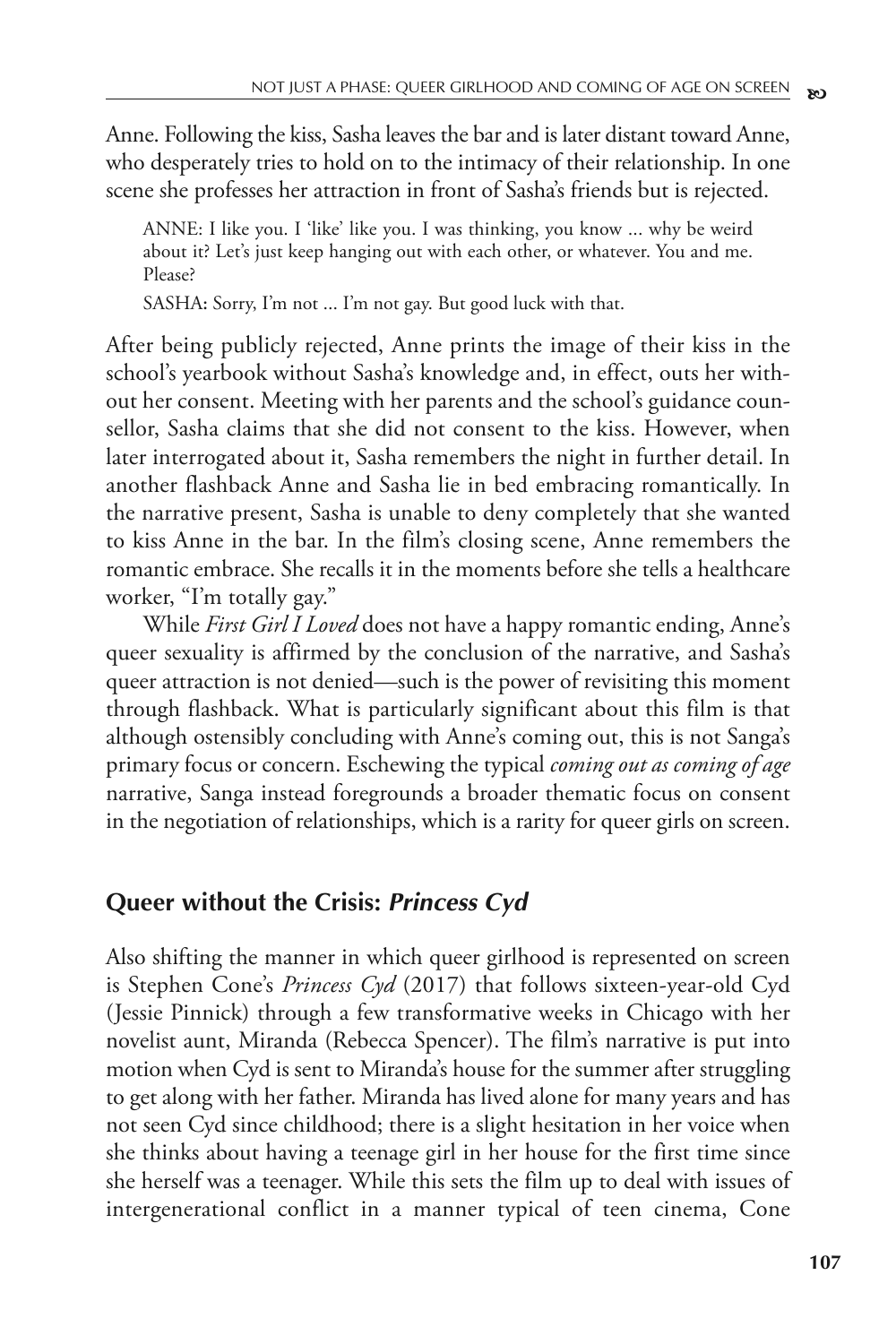Anne. Following the kiss, Sasha leaves the bar and is later distant toward Anne, who desperately tries to hold on to the intimacy of their relationship. In one scene she professes her attraction in front of Sasha's friends but is rejected.

ANNE: I like you. I 'like' like you. I was thinking, you know ... why be weird about it? Let's just keep hanging out with each other, or whatever. You and me. Please?

SASHA**:** Sorry, I'm not ... I'm not gay. But good luck with that.

After being publicly rejected, Anne prints the image of their kiss in the school's yearbook without Sasha's knowledge and, in effect, outs her without her consent. Meeting with her parents and the school's guidance counsellor, Sasha claims that she did not consent to the kiss. However, when later interrogated about it, Sasha remembers the night in further detail. In another flashback Anne and Sasha lie in bed embracing romantically. In the narrative present, Sasha is unable to deny completely that she wanted to kiss Anne in the bar. In the film's closing scene, Anne remembers the romantic embrace. She recalls it in the moments before she tells a healthcare worker, "I'm totally gay."

While *First Girl I Loved* does not have a happy romantic ending, Anne's queer sexuality is affirmed by the conclusion of the narrative, and Sasha's queer attraction is not denied—such is the power of revisiting this moment through flashback. What is particularly significant about this film is that although ostensibly concluding with Anne's coming out, this is not Sanga's primary focus or concern. Eschewing the typical *coming out as coming of age* narrative, Sanga instead foregrounds a broader thematic focus on consent in the negotiation of relationships, which is a rarity for queer girls on screen.

### **Queer without the Crisis: Princess Cyd**

Also shifting the manner in which queer girlhood is represented on screen is Stephen Cone's *Princess Cyd* (2017) that follows sixteen-year-old Cyd (Jessie Pinnick) through a few transformative weeks in Chicago with her novelist aunt, Miranda (Rebecca Spencer). The film's narrative is put into motion when Cyd is sent to Miranda's house for the summer after struggling to get along with her father. Miranda has lived alone for many years and has not seen Cyd since childhood; there is a slight hesitation in her voice when she thinks about having a teenage girl in her house for the first time since she herself was a teenager. While this sets the film up to deal with issues of intergenerational conflict in a manner typical of teen cinema, Cone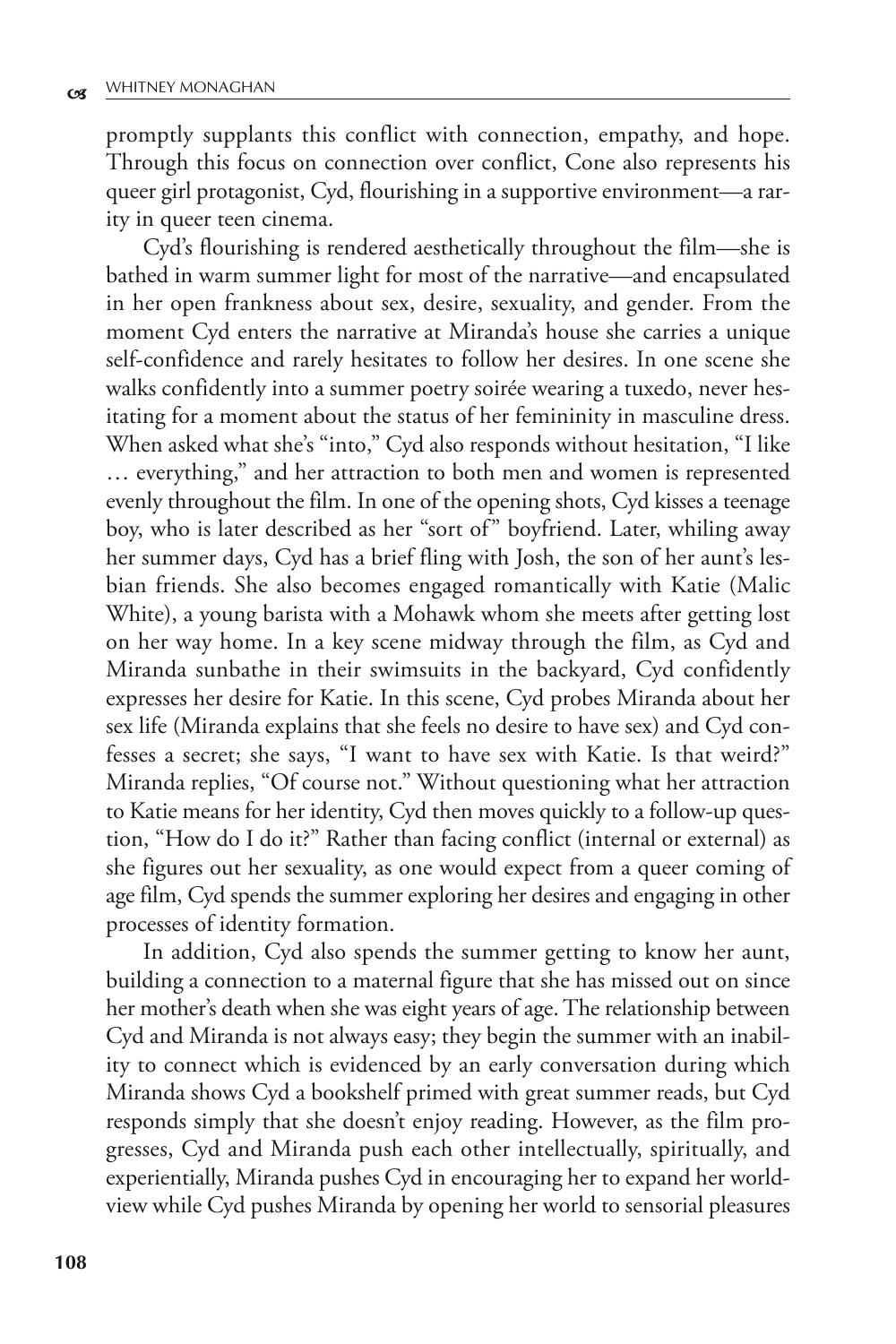promptly supplants this conflict with connection, empathy, and hope. Through this focus on connection over conflict, Cone also represents his queer girl protagonist, Cyd, flourishing in a supportive environment—a rarity in queer teen cinema.

Cyd's flourishing is rendered aesthetically throughout the film—she is bathed in warm summer light for most of the narrative—and encapsulated in her open frankness about sex, desire, sexuality, and gender. From the moment Cyd enters the narrative at Miranda's house she carries a unique self-confidence and rarely hesitates to follow her desires. In one scene she walks confidently into a summer poetry soirée wearing a tuxedo, never hesitating for a moment about the status of her femininity in masculine dress. When asked what she's "into," Cyd also responds without hesitation, "I like … everything," and her attraction to both men and women is represented evenly throughout the film. In one of the opening shots, Cyd kisses a teenage boy, who is later described as her "sort of" boyfriend. Later, whiling away her summer days, Cyd has a brief fling with Josh, the son of her aunt's lesbian friends. She also becomes engaged romantically with Katie (Malic White), a young barista with a Mohawk whom she meets after getting lost on her way home. In a key scene midway through the film, as Cyd and Miranda sunbathe in their swimsuits in the backyard, Cyd confidently expresses her desire for Katie. In this scene, Cyd probes Miranda about her sex life (Miranda explains that she feels no desire to have sex) and Cyd confesses a secret; she says, "I want to have sex with Katie. Is that weird?" Miranda replies, "Of course not." Without questioning what her attraction to Katie means for her identity, Cyd then moves quickly to a follow-up question, "How do I do it?" Rather than facing conflict (internal or external) as she figures out her sexuality, as one would expect from a queer coming of age film, Cyd spends the summer exploring her desires and engaging in other processes of identity formation.

In addition, Cyd also spends the summer getting to know her aunt, building a connection to a maternal figure that she has missed out on since her mother's death when she was eight years of age. The relationship between Cyd and Miranda is not always easy; they begin the summer with an inability to connect which is evidenced by an early conversation during which Miranda shows Cyd a bookshelf primed with great summer reads, but Cyd responds simply that she doesn't enjoy reading. However, as the film progresses, Cyd and Miranda push each other intellectually, spiritually, and experientially, Miranda pushes Cyd in encouraging her to expand her worldview while Cyd pushes Miranda by opening her world to sensorial pleasures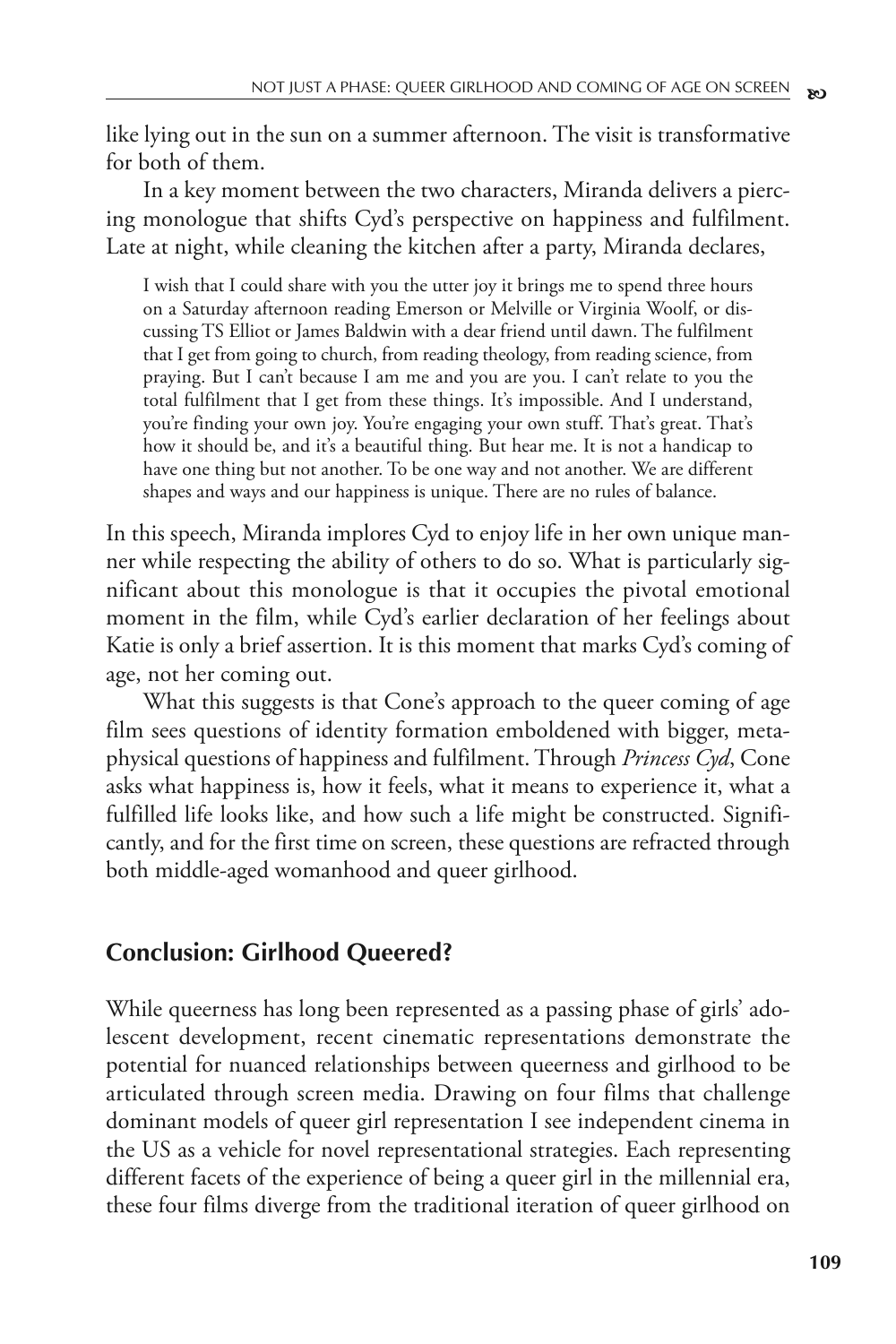like lying out in the sun on a summer afternoon. The visit is transformative for both of them.

In a key moment between the two characters, Miranda delivers a piercing monologue that shifts Cyd's perspective on happiness and fulfilment. Late at night, while cleaning the kitchen after a party, Miranda declares,

I wish that I could share with you the utter joy it brings me to spend three hours on a Saturday afternoon reading Emerson or Melville or Virginia Woolf, or discussing TS Elliot or James Baldwin with a dear friend until dawn. The fulfilment that I get from going to church, from reading theology, from reading science, from praying. But I can't because I am me and you are you. I can't relate to you the total fulfilment that I get from these things. It's impossible. And I understand, you're finding your own joy. You're engaging your own stuff. That's great. That's how it should be, and it's a beautiful thing. But hear me. It is not a handicap to have one thing but not another. To be one way and not another. We are different shapes and ways and our happiness is unique. There are no rules of balance.

In this speech, Miranda implores Cyd to enjoy life in her own unique manner while respecting the ability of others to do so. What is particularly significant about this monologue is that it occupies the pivotal emotional moment in the film, while Cyd's earlier declaration of her feelings about Katie is only a brief assertion. It is this moment that marks Cyd's coming of age, not her coming out.

What this suggests is that Cone's approach to the queer coming of age film sees questions of identity formation emboldened with bigger, metaphysical questions of happiness and fulfilment. Through *Princess Cyd*, Cone asks what happiness is, how it feels, what it means to experience it, what a fulfilled life looks like, and how such a life might be constructed. Significantly, and for the first time on screen, these questions are refracted through both middle-aged womanhood and queer girlhood.

## **Conclusion: Girlhood Queered?**

While queerness has long been represented as a passing phase of girls' adolescent development, recent cinematic representations demonstrate the potential for nuanced relationships between queerness and girlhood to be articulated through screen media. Drawing on four films that challenge dominant models of queer girl representation I see independent cinema in the US as a vehicle for novel representational strategies. Each representing different facets of the experience of being a queer girl in the millennial era, these four films diverge from the traditional iteration of queer girlhood on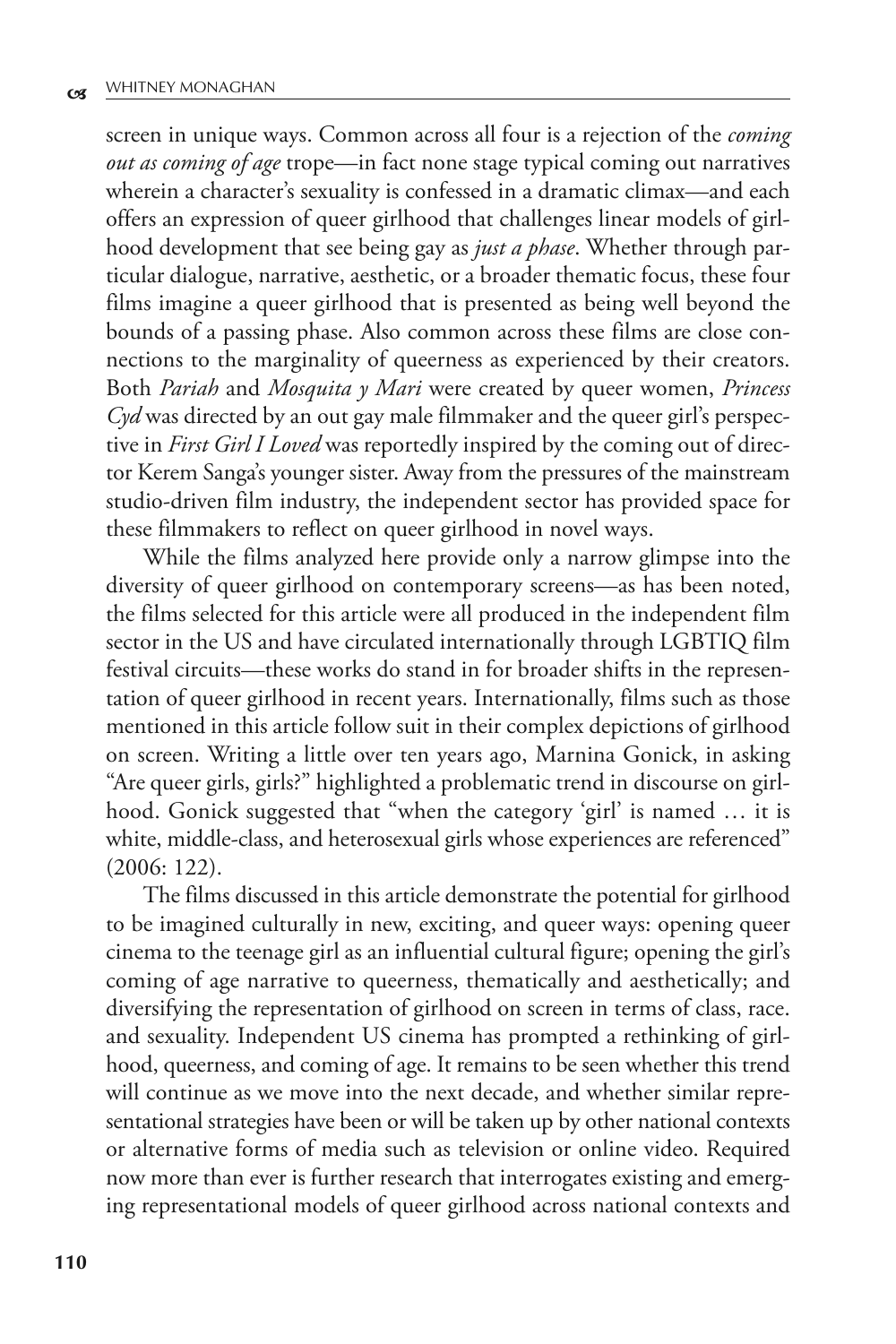screen in unique ways. Common across all four is a rejection of the *coming out as coming of age* trope—in fact none stage typical coming out narratives wherein a character's sexuality is confessed in a dramatic climax—and each offers an expression of queer girlhood that challenges linear models of girlhood development that see being gay as *just a phase*. Whether through particular dialogue, narrative, aesthetic, or a broader thematic focus, these four films imagine a queer girlhood that is presented as being well beyond the bounds of a passing phase. Also common across these films are close connections to the marginality of queerness as experienced by their creators. Both *Pariah* and *Mosquita y Mari* were created by queer women, *Princess Cyd* was directed by an out gay male filmmaker and the queer girl's perspective in *First Girl I Loved* was reportedly inspired by the coming out of director Kerem Sanga's younger sister. Away from the pressures of the mainstream studio-driven film industry, the independent sector has provided space for these filmmakers to reflect on queer girlhood in novel ways.

While the films analyzed here provide only a narrow glimpse into the diversity of queer girlhood on contemporary screens—as has been noted, the films selected for this article were all produced in the independent film sector in the US and have circulated internationally through LGBTIQ film festival circuits—these works do stand in for broader shifts in the representation of queer girlhood in recent years. Internationally, films such as those mentioned in this article follow suit in their complex depictions of girlhood on screen. Writing a little over ten years ago, Marnina Gonick, in asking "Are queer girls, girls?" highlighted a problematic trend in discourse on girlhood. Gonick suggested that "when the category 'girl' is named … it is white, middle-class, and heterosexual girls whose experiences are referenced" (2006: 122).

The films discussed in this article demonstrate the potential for girlhood to be imagined culturally in new, exciting, and queer ways: opening queer cinema to the teenage girl as an influential cultural figure; opening the girl's coming of age narrative to queerness, thematically and aesthetically; and diversifying the representation of girlhood on screen in terms of class, race. and sexuality. Independent US cinema has prompted a rethinking of girlhood, queerness, and coming of age. It remains to be seen whether this trend will continue as we move into the next decade, and whether similar representational strategies have been or will be taken up by other national contexts or alternative forms of media such as television or online video. Required now more than ever is further research that interrogates existing and emerging representational models of queer girlhood across national contexts and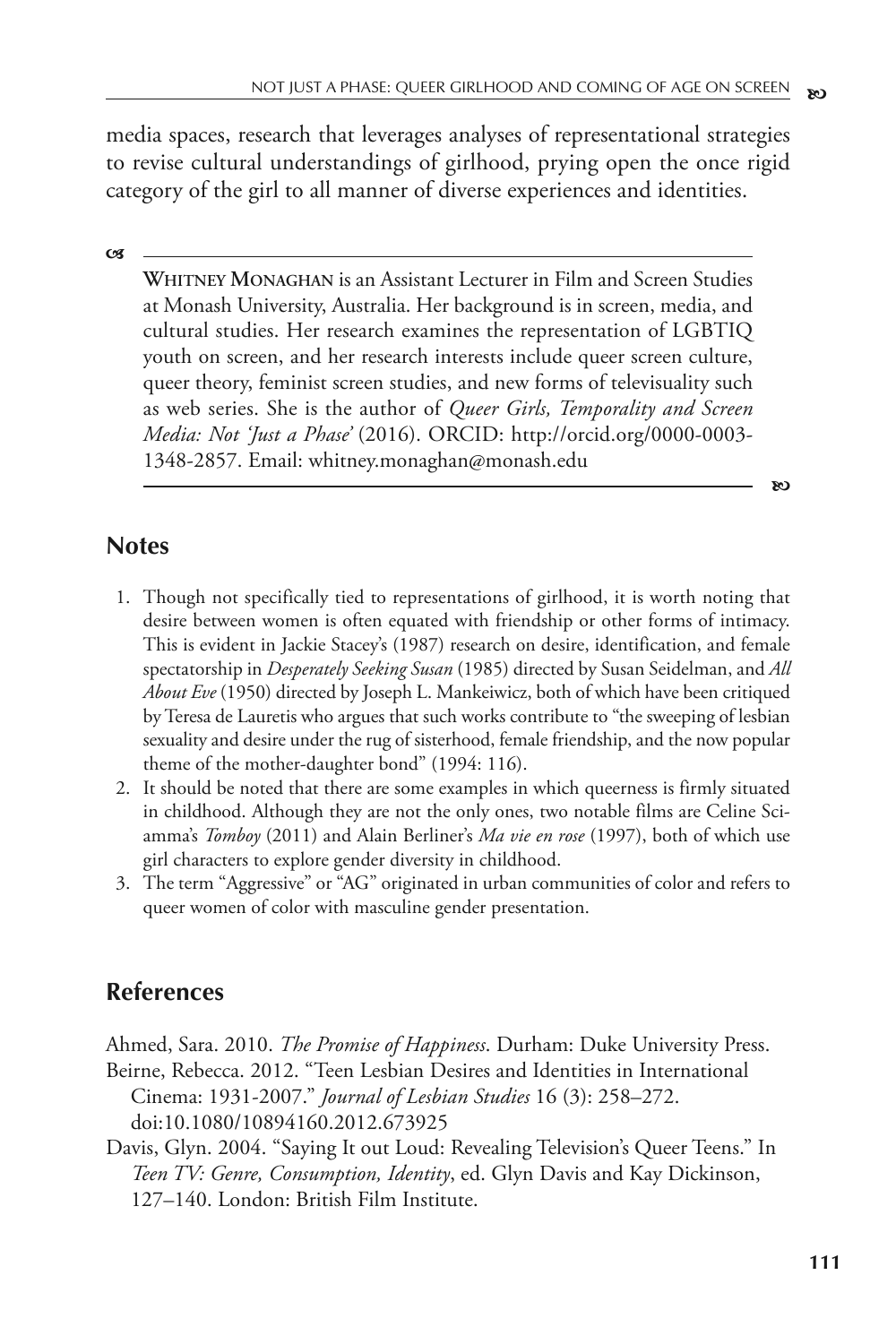media spaces, research that leverages analyses of representational strategies to revise cultural understandings of girlhood, prying open the once rigid category of the girl to all manner of diverse experiences and identities.

**c**s

**WHITNEY MONAGHAN** is an Assistant Lecturer in Film and Screen Studies at Monash University, Australia. Her background is in screen, media, and cultural studies. Her research examines the representation of LGBTIQ youth on screen, and her research interests include queer screen culture, queer theory, feminist screen studies, and new forms of televisuality such as web series. She is the author of *Queer Girls, Temporality and Screen Media: Not 'Just a Phase'* (2016). ORCID: http://orcid.org/0000-0003- 1348-2857. Email: whitney.monaghan@monash.edu

#### **Notes**

- 1. Though not specifically tied to representations of girlhood, it is worth noting that desire between women is often equated with friendship or other forms of intimacy. This is evident in Jackie Stacey's (1987) research on desire, identification, and female spectatorship in *Desperately Seeking Susan* (1985) directed by Susan Seidelman, and *All About Eve* (1950) directed by Joseph L. Mankeiwicz, both of which have been critiqued by Teresa de Lauretis who argues that such works contribute to "the sweeping of lesbian sexuality and desire under the rug of sisterhood, female friendship, and the now popular theme of the mother-daughter bond" (1994: 116).
- 2. It should be noted that there are some examples in which queerness is firmly situated in childhood. Although they are not the only ones, two notable films are Celine Sciamma's *Tomboy* (2011) and Alain Berliner's *Ma vie en rose* (1997), both of which use girl characters to explore gender diversity in childhood.
- 3. The term "Aggressive" or "AG" originated in urban communities of color and refers to queer women of color with masculine gender presentation.

### **References**

Ahmed, Sara. 2010. *The Promise of Happiness*. Durham: Duke University Press.

Beirne, Rebecca. 2012. "Teen Lesbian Desires and Identities in International Cinema: 1931-2007." *Journal of Lesbian Studies* 16 (3): 258–272. doi:10.1080/10894160.2012.673925

Davis, Glyn. 2004. "Saying It out Loud: Revealing Television's Queer Teens." In *Teen TV: Genre, Consumption, Identity*, ed. Glyn Davis and Kay Dickinson, 127–140. London: British Film Institute.

**b**<sub>D</sub>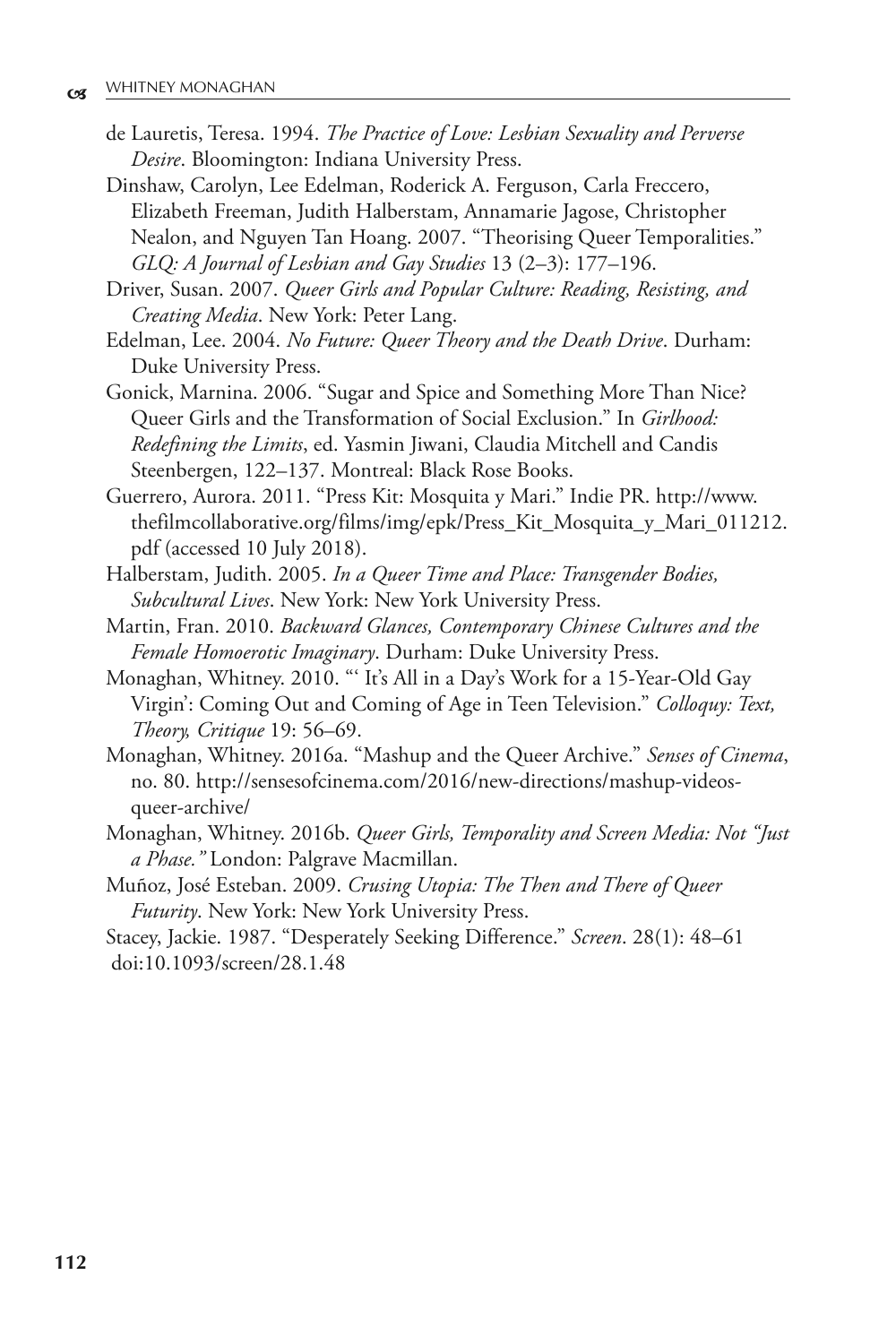de Lauretis, Teresa. 1994. *The Practice of Love: Lesbian Sexuality and Perverse Desire*. Bloomington: Indiana University Press.

Dinshaw, Carolyn, Lee Edelman, Roderick A. Ferguson, Carla Freccero, Elizabeth Freeman, Judith Halberstam, Annamarie Jagose, Christopher Nealon, and Nguyen Tan Hoang. 2007. "Theorising Queer Temporalities." *GLQ: A Journal of Lesbian and Gay Studies* 13 (2–3): 177–196.

Driver, Susan. 2007. *Queer Girls and Popular Culture: Reading, Resisting, and Creating Media*. New York: Peter Lang.

Edelman, Lee. 2004. *No Future: Queer Theory and the Death Drive*. Durham: Duke University Press.

Gonick, Marnina. 2006. "Sugar and Spice and Something More Than Nice? Queer Girls and the Transformation of Social Exclusion." In *Girlhood: Redefining the Limits*, ed. Yasmin Jiwani, Claudia Mitchell and Candis Steenbergen, 122–137. Montreal: Black Rose Books.

Guerrero, Aurora. 2011. "Press Kit: Mosquita y Mari." Indie PR. http://www. thefilmcollaborative.org/films/img/epk/Press\_Kit\_Mosquita\_y\_Mari\_011212. pdf (accessed 10 July 2018).

Halberstam, Judith. 2005. *In a Queer Time and Place: Transgender Bodies, Subcultural Lives*. New York: New York University Press.

Martin, Fran. 2010. *Backward Glances, Contemporary Chinese Cultures and the Female Homoerotic Imaginary*. Durham: Duke University Press.

Monaghan, Whitney. 2010. "' It's All in a Day's Work for a 15-Year-Old Gay Virgin': Coming Out and Coming of Age in Teen Television." *Colloquy: Text, Theory, Critique* 19: 56–69.

Monaghan, Whitney. 2016a. "Mashup and the Queer Archive." *Senses of Cinema*, no. 80. http://sensesofcinema.com/2016/new-directions/mashup-videosqueer-archive/

Monaghan, Whitney. 2016b. *Queer Girls, Temporality and Screen Media: Not "Just a Phase."* London: Palgrave Macmillan.

Muñoz, José Esteban. 2009. *Crusing Utopia: The Then and There of Queer Futurity*. New York: New York University Press.

Stacey, Jackie. 1987. "Desperately Seeking Difference." *Screen*. 28(1): 48–61 doi:10.1093/screen/28.1.48